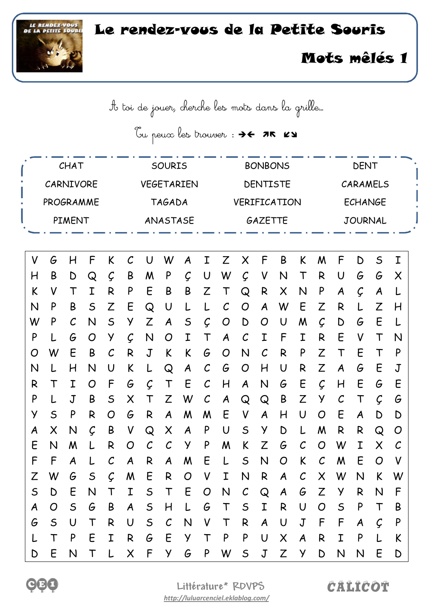## LE RENDEZ-VOUS Le rendez-vous de la Petite Souris



## Mots mêlés 1

A toi de jouer, cherche les mots dans la grille…

Tu peux les trouver : 76 75 KY

| CHAT          |                |               |              |              | <b>SOURIS</b>                   |                       |               |           |                | <b>BONBONS</b> |               |               |                           |                       |                | <b>DENT</b>  |                  |                |          |  |  |
|---------------|----------------|---------------|--------------|--------------|---------------------------------|-----------------------|---------------|-----------|----------------|----------------|---------------|---------------|---------------------------|-----------------------|----------------|--------------|------------------|----------------|----------|--|--|
| CARNIVORE     |                |               |              |              |                                 | <b>VEGETARIEN</b>     |               |           |                |                | DENTISTE      |               |                           |                       |                |              | CARAMELS         |                |          |  |  |
|               | PROGRAMME      |               |              |              |                                 |                       | <b>TAGADA</b> |           |                |                |               | VERIFICATION  |                           |                       |                |              |                  | <b>ECHANGE</b> |          |  |  |
| <b>PIMENT</b> |                |               |              |              |                                 | ANASTASE              |               |           |                |                |               | GAZETTE       |                           | <b>JOURNAL</b>        |                |              |                  |                |          |  |  |
|               |                |               |              |              |                                 |                       |               |           |                |                |               |               |                           |                       |                |              |                  |                |          |  |  |
| V             | G              | H             | F            | K            | $\mathcal{C}$                   | U                     | W             | A         | Ι              | Z              | X             | F             | B                         | K                     | M              | F            | D                | $\mathsf S$    | I        |  |  |
| H             | B              | D             | Q            | Ç            | B                               | M                     | P             | Ç         | U              | W              | Ç             | V             | N                         | T                     | R              | U            | G                | G              | X        |  |  |
| K             | V              | Т             | Ι            | R            | P                               | E                     | B             | B         | Z              |                | Q             | R             | X                         | N                     | P              | A            | Ç                | A              |          |  |  |
| N             | P              | B             | S            | Z            | E                               | Q                     | U             |           |                |                | O             | A             | W                         | E                     | Z              | R            |                  | Z              | H        |  |  |
| W             | P              | $\mathcal{C}$ | N            | S            | Z<br>Ç<br>у<br>$\mathsf S$<br>A |                       |               |           |                | O              | D             | O             | U                         | M                     | Ç              | D            | G                | E              | L        |  |  |
| P             | L              | G             | O            | у            | N<br>Ç<br>Ι<br>O<br>T           |                       |               |           | A              | $\mathcal C$   | Ι             | F             | Ι                         | R                     | E              | V            | Т                | N              |          |  |  |
| O             | W              | E             | B            | С            | $\mathbf J$<br>R<br>K<br>K<br>G |                       |               |           | O              | N              | $\mathcal C$  | R             | P                         | Z                     | T              | E            | Т                | P              |          |  |  |
| N             |                | H             | N            | U            | K                               |                       | Q             | A         | C              | G              | O             | H             | U                         | R                     | Z              | A            | G                | E              | J        |  |  |
| R             | Τ              | Ι             | O            | F            | G                               | Ç                     | Т             | E         | C              | H              | A             | N             | G                         | E                     | Ç              | H            | E                | G              | E        |  |  |
| P             |                | J             | B            | $\mathsf S$  | Χ                               | Т                     | Z             | W         | C              | A              | Q             | Q             | B                         | Z                     | у              | $\cal C$     | Т                | Ç              | G        |  |  |
| У             | $\mathsf S$    | P             | R            | O            | G                               | R                     | A             | M         | M              | E              | V             | A             | H                         | U                     | O              | E            | A                | D              | D        |  |  |
| A             | Χ              | N             | Ç            | B            | V                               | Q                     | X             | A         | P              | U              | $\mathsf S$   | У             | D                         |                       | M              | R            | R                | $\mathsf{Q}$   | O        |  |  |
| E             | N              | M             |              | R            | O                               | $\mathcal{C}_{0}^{0}$ | $\mathcal C$  | У         | P              | M              | K             | Z             | G                         | C                     | O              | W            | Ι                | Χ              | $\cal C$ |  |  |
| F             | F              | A             |              | С            | A                               | R                     | A             | M         | E              |                | $\mathsf S$   | N             | O                         | K                     | $\mathcal C$   | M            | E                | O              | V        |  |  |
| Z             | W              | G             | S            | $\mathcal C$ | M                               | E                     | R             | O         | V              | Ι              | N             | R             | A                         | $\mathcal{C}_{0}^{0}$ | X              | W            | N                | K              | W        |  |  |
| $\mathsf S$   | D              | E             | $\mathsf{N}$ | $\mathsf T$  | I                               | $\mathsf{S}$          | $\top$        | E         | $\overline{O}$ | ${\sf N}$      | $\mathcal{C}$ | Q             | $\boldsymbol{A}$          | G                     | Z              | Y            | R                | N              | F        |  |  |
| A             | $\overline{O}$ | $\mathsf{S}$  | G            | B            | $\boldsymbol{A}$                | $\mathsf{S}$          | H             | $\lfloor$ | G              | $\top$         | $\mathsf{S}$  | $\mathbf I$   | R                         | $\cup$                | $\overline{O}$ | $\mathsf{S}$ | P                | $\mathsf T$    | B        |  |  |
| G             | S              | $\cup$        | $\mathsf T$  | R            | $\cup$                          | S                     | $\mathcal C$  | N         | V              | $\mathsf T$    | $\mathsf{R}$  | $\mathcal{A}$ | $\cup$                    | $\mathsf J$           | $\sqrt{2}$     | $\mathsf{F}$ | $\boldsymbol{A}$ | Ç              | P        |  |  |
| L             | $\mathsf T$    | P             | E            | I            | $\mathsf{R}$                    | G                     | E             | Y         | $\mathsf T$    | $\mathsf{P}$   | P             | $\cup$        | $\boldsymbol{\mathsf{X}}$ | $\boldsymbol{A}$      | R              | $\mathbf I$  | P                | L              | K        |  |  |
| D             | E              | $\mathsf{N}$  | $\mathsf T$  | L            | $\sf X$                         | F Y                   |               | G         | P              | W              | S             | $\mathsf J$   | Z                         | Y.                    | D              | $\mathsf{N}$ | $\mathsf{N}$     | E              | D        |  |  |